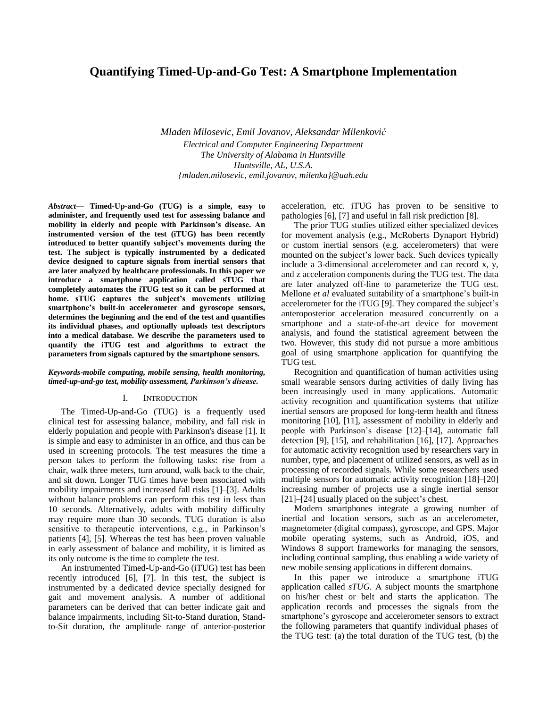# **Quantifying Timed-Up-and-Go Test: A Smartphone Implementation**

*Mladen Milosevic, Emil Jovanov, Aleksandar Milenković Electrical and Computer Engineering Department The University of Alabama in Huntsville Huntsville, AL, U.S.A. {mladen.milosevic, emil.jovanov, milenka}@uah.edu*

*Abstract***— Timed-Up-and-Go (TUG) is a simple, easy to administer, and frequently used test for assessing balance and mobility in elderly and people with Parkinson's disease. An instrumented version of the test (iTUG) has been recently introduced to better quantify subject's movements during the test. The subject is typically instrumented by a dedicated device designed to capture signals from inertial sensors that are later analyzed by healthcare professionals. In this paper we introduce a smartphone application called sTUG that completely automates the iTUG test so it can be performed at home. sTUG captures the subject's movements utilizing smartphone's built-in accelerometer and gyroscope sensors, determines the beginning and the end of the test and quantifies its individual phases, and optionally uploads test descriptors into a medical database. We describe the parameters used to quantify the iTUG test and algorithms to extract the parameters from signals captured by the smartphone sensors.** 

## *Keywords-mobile computing, mobile sensing, health monitoring, timed-up-and-go test, mobility assessment, Parkinson's disease.*

## I. INTRODUCTION

The Timed-Up-and-Go (TUG) is a frequently used clinical test for assessing balance, mobility, and fall risk in elderly population and people with Parkinson's disease [1]. It is simple and easy to administer in an office, and thus can be used in screening protocols. The test measures the time a person takes to perform the following tasks: rise from a chair, walk three meters, turn around, walk back to the chair, and sit down. Longer TUG times have been associated with mobility impairments and increased fall risks [1]–[3]. Adults without balance problems can perform this test in less than 10 seconds. Alternatively, adults with mobility difficulty may require more than 30 seconds. TUG duration is also sensitive to therapeutic interventions, e.g., in Parkinson's patients [4], [5]. Whereas the test has been proven valuable in early assessment of balance and mobility, it is limited as its only outcome is the time to complete the test.

An instrumented Timed-Up-and-Go (iTUG) test has been recently introduced [6], [7]. In this test, the subject is instrumented by a dedicated device specially designed for gait and movement analysis. A number of additional parameters can be derived that can better indicate gait and balance impairments, including Sit-to-Stand duration, Standto-Sit duration, the amplitude range of anterior-posterior acceleration, etc. iTUG has proven to be sensitive to pathologies [6], [7] and useful in fall risk prediction [8].

The prior TUG studies utilized either specialized devices for movement analysis (e.g., McRoberts Dynaport Hybrid) or custom inertial sensors (e.g. accelerometers) that were mounted on the subject's lower back. Such devices typically include a 3-dimensional accelerometer and can record x, y, and z acceleration components during the TUG test. The data are later analyzed off-line to parameterize the TUG test. Mellone *et al* evaluated suitability of a smartphone's built-in accelerometer for the iTUG [9]. They compared the subject's anteroposterior acceleration measured concurrently on a smartphone and a state-of-the-art device for movement analysis, and found the statistical agreement between the two. However, this study did not pursue a more ambitious goal of using smartphone application for quantifying the TUG test.

Recognition and quantification of human activities using small wearable sensors during activities of daily living has been increasingly used in many applications. Automatic activity recognition and quantification systems that utilize inertial sensors are proposed for long-term health and fitness monitoring [10], [11], assessment of mobility in elderly and people with Parkinson's disease [12]–[14], automatic fall detection [9], [15], and rehabilitation [16], [17]. Approaches for automatic activity recognition used by researchers vary in number, type, and placement of utilized sensors, as well as in processing of recorded signals. While some researchers used multiple sensors for automatic activity recognition [18]–[20] increasing number of projects use a single inertial sensor [21]–[24] usually placed on the subject's chest.

Modern smartphones integrate a growing number of inertial and location sensors, such as an accelerometer, magnetometer (digital compass), gyroscope, and GPS. Major mobile operating systems, such as Android, iOS, and Windows 8 support frameworks for managing the sensors, including continual sampling, thus enabling a wide variety of new mobile sensing applications in different domains.

In this paper we introduce a smartphone iTUG application called *sTUG*. A subject mounts the smartphone on his/her chest or belt and starts the application. The application records and processes the signals from the smartphone's gyroscope and accelerometer sensors to extract the following parameters that quantify individual phases of the TUG test: (a) the total duration of the TUG test, (b) the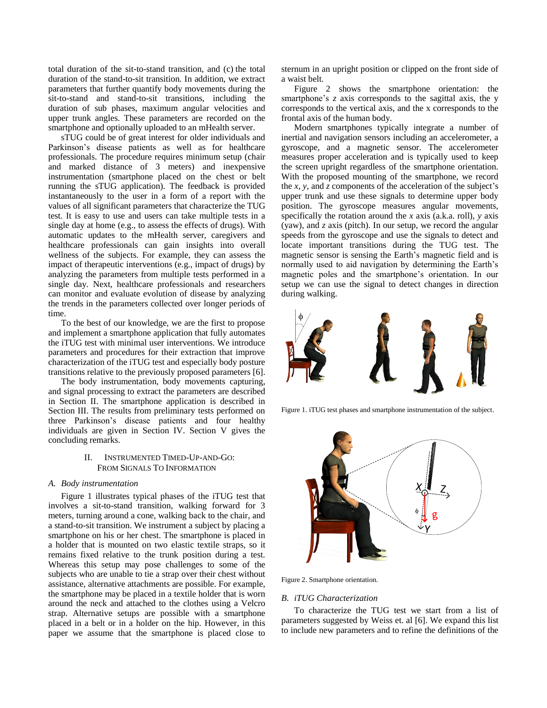total duration of the sit-to-stand transition, and (c) the total duration of the stand-to-sit transition. In addition, we extract parameters that further quantify body movements during the sit-to-stand and stand-to-sit transitions, including the duration of sub phases, maximum angular velocities and upper trunk angles. These parameters are recorded on the smartphone and optionally uploaded to an mHealth server.

sTUG could be of great interest for older individuals and Parkinson's disease patients as well as for healthcare professionals. The procedure requires minimum setup (chair and marked distance of 3 meters) and inexpensive instrumentation (smartphone placed on the chest or belt running the sTUG application). The feedback is provided instantaneously to the user in a form of a report with the values of all significant parameters that characterize the TUG test. It is easy to use and users can take multiple tests in a single day at home (e.g., to assess the effects of drugs). With automatic updates to the mHealth server, caregivers and healthcare professionals can gain insights into overall wellness of the subjects. For example, they can assess the impact of therapeutic interventions (e.g., impact of drugs) by analyzing the parameters from multiple tests performed in a single day. Next, healthcare professionals and researchers can monitor and evaluate evolution of disease by analyzing the trends in the parameters collected over longer periods of time.

To the best of our knowledge, we are the first to propose and implement a smartphone application that fully automates the iTUG test with minimal user interventions. We introduce parameters and procedures for their extraction that improve characterization of the iTUG test and especially body posture transitions relative to the previously proposed parameters [6].

The body instrumentation, body movements capturing, and signal processing to extract the parameters are described in Section II. The smartphone application is described in Section III. The results from preliminary tests performed on three Parkinson's disease patients and four healthy individuals are given in Section IV. Section V gives the concluding remarks.

## INSTRUMENTED TIMED-UP-AND-GO: FROM SIGNALS TO INFORMATION

#### *A. Body instrumentation*

[Figure 1](#page-1-0) illustrates typical phases of the iTUG test that involves a sit-to-stand transition, walking forward for 3 meters, turning around a cone, walking back to the chair, and a stand-to-sit transition. We instrument a subject by placing a smartphone on his or her chest. The smartphone is placed in a holder that is mounted on two elastic textile straps, so it remains fixed relative to the trunk position during a test. Whereas this setup may pose challenges to some of the subjects who are unable to tie a strap over their chest without assistance, alternative attachments are possible. For example, the smartphone may be placed in a textile holder that is worn around the neck and attached to the clothes using a Velcro strap. Alternative setups are possible with a smartphone placed in a belt or in a holder on the hip. However, in this paper we assume that the smartphone is placed close to

sternum in an upright position or clipped on the front side of a waist belt.

[Figure 2](#page-1-1) shows the smartphone orientation: the smartphone's *z* axis corresponds to the sagittal axis, the y corresponds to the vertical axis, and the x corresponds to the frontal axis of the human body.

Modern smartphones typically integrate a number of inertial and navigation sensors including an accelerometer, a gyroscope, and a magnetic sensor. The accelerometer measures proper acceleration and is typically used to keep the screen upright regardless of the smartphone orientation. With the proposed mounting of the smartphone, we record the *x*, *y*, and *z* components of the acceleration of the subject's upper trunk and use these signals to determine upper body position. The gyroscope measures angular movements, specifically the rotation around the *x* axis (a.k.a. roll), *y* axis (yaw), and *z* axis (pitch). In our setup, we record the angular speeds from the gyroscope and use the signals to detect and locate important transitions during the TUG test. The magnetic sensor is sensing the Earth's magnetic field and is normally used to aid navigation by determining the Earth's magnetic poles and the smartphone's orientation. In our setup we can use the signal to detect changes in direction during walking.



Figure 1. iTUG test phases and smartphone instrumentation of the subject.

<span id="page-1-0"></span>

<span id="page-1-1"></span>Figure 2. Smartphone orientation.

#### *B. iTUG Characterization*

To characterize the TUG test we start from a list of parameters suggested by Weiss et. al [6]. We expand this list to include new parameters and to refine the definitions of the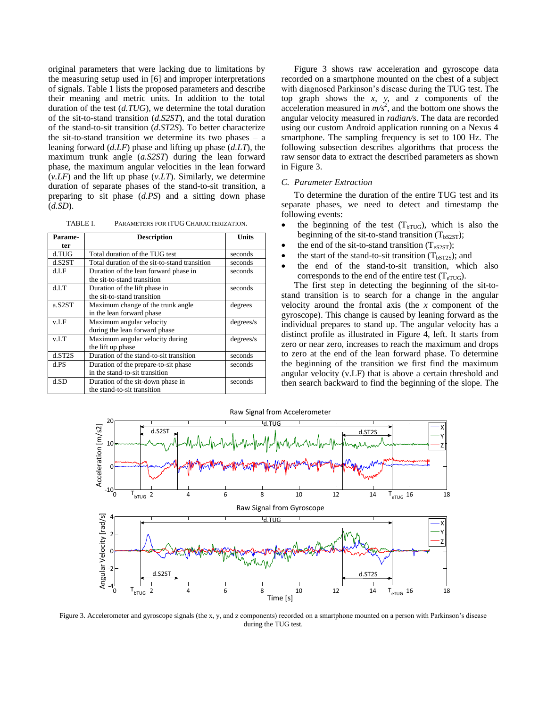original parameters that were lacking due to limitations by the measuring setup used in [6] and improper interpretations of signals. Table 1 lists the proposed parameters and describe their meaning and metric units. In addition to the total duration of the test (*d.TUG*), we determine the total duration of the sit-to-stand transition (*d.S2ST*), and the total duration of the stand-to-sit transition (*d.ST2S*). To better characterize the sit-to-stand transition we determine its two phases  $-$  a leaning forward (*d.LF*) phase and lifting up phase (*d.LT*), the maximum trunk angle (*a.S2ST*) during the lean forward phase, the maximum angular velocities in the lean forward (*v.LF*) and the lift up phase (*v.LT*). Similarly, we determine duration of separate phases of the stand-to-sit transition, a preparing to sit phase (*d.PS*) and a sitting down phase (*d.SD*).

TABLE I. PARAMETERS FOR ITUG CHARACTERIZATION.

| Parame- | <b>Description</b>                            | <b>Units</b> |
|---------|-----------------------------------------------|--------------|
| ter     |                                               |              |
| d.TUG   | Total duration of the TUG test                | seconds      |
| d.S2ST  | Total duration of the sit-to-stand transition | seconds      |
| d.LF    | Duration of the lean forward phase in         | seconds      |
|         | the sit-to-stand transition                   |              |
| d.LT    | Duration of the lift phase in                 | seconds      |
|         | the sit-to-stand transition                   |              |
| a.S2ST  | Maximum change of the trunk angle             | degrees      |
|         | in the lean forward phase                     |              |
| v.LF    | Maximum angular velocity                      | degrees/s    |
|         | during the lean forward phase                 |              |
| v.LT    | Maximum angular velocity during               | degrees/s    |
|         | the lift up phase                             |              |
| d.ST2S  | Duration of the stand-to-sit transition       | seconds      |
| d.PS    | Duration of the prepare-to-sit phase          | seconds      |
|         | in the stand-to-sit transition                |              |
| $d$ .SD | Duration of the sit-down phase in             | seconds      |
|         | the stand-to-sit transition                   |              |

[Figure 3](#page-2-0) shows raw acceleration and gyroscope data recorded on a smartphone mounted on the chest of a subject with diagnosed Parkinson's disease during the TUG test. The top graph shows the *x*, *y*, and *z* components of the acceleration measured in  $m/s^2$ , and the bottom one shows the angular velocity measured in *radian/s*. The data are recorded using our custom Android application running on a Nexus 4 smartphone. The sampling frequency is set to 100 Hz. The following subsection describes algorithms that process the raw sensor data to extract the described parameters as shown in [Figure 3.](#page-2-0)

# *C. Parameter Extraction*

To determine the duration of the entire TUG test and its separate phases, we need to detect and timestamp the following events:

- the beginning of the test  $(T_{bTUG})$ , which is also the beginning of the sit-to-stand transition  $(T_{bS2ST})$ ;
- the end of the sit-to-stand transition  $(T_{eS2ST})$ ;
- the start of the stand-to-sit transition  $(T_{bST2S})$ ; and
- the end of the stand-to-sit transition, which also corresponds to the end of the entire test  $(T_{\text{eTUG}})$ .

The first step in detecting the beginning of the sit-tostand transition is to search for a change in the angular velocity around the frontal axis (the *x* component of the gyroscope). This change is caused by leaning forward as the individual prepares to stand up. The angular velocity has a distinct profile as illustrated in [Figure 4,](#page-3-0) left. It starts from zero or near zero, increases to reach the maximum and drops to zero at the end of the lean forward phase. To determine the beginning of the transition we first find the maximum angular velocity (v.LF) that is above a certain threshold and then search backward to find the beginning of the slope. The



<span id="page-2-0"></span>Figure 3. Accelerometer and gyroscope signals (the x, y, and z components) recorded on a smartphone mounted on a person with Parkinson's disease during the TUG test.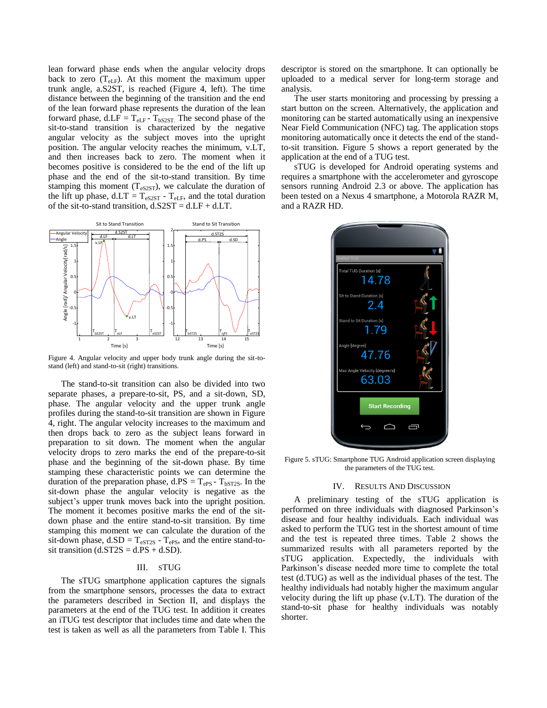lean forward phase ends when the angular velocity drops back to zero  $(T_{eLF})$ . At this moment the maximum upper trunk angle, a.S2ST, is reached [\(Figure 4,](#page-3-0) left). The time distance between the beginning of the transition and the end of the lean forward phase represents the duration of the lean forward phase,  $d.LF = T_{eLF} - T_{bS2ST}$ . The second phase of the sit-to-stand transition is characterized by the negative angular velocity as the subject moves into the upright position. The angular velocity reaches the minimum, v.LT, and then increases back to zero. The moment when it becomes positive is considered to be the end of the lift up phase and the end of the sit-to-stand transition. By time stamping this moment ( $T_{\text{eS2ST}}$ ), we calculate the duration of the lift up phase,  $dLT = T_{eS2ST} - T_{eLF}$ , and the total duration of the sit-to-stand transition,  $d.S2ST = d.LF + d.LT$ .



<span id="page-3-0"></span>Figure 4. Angular velocity and upper body trunk angle during the sit-tostand (left) and stand-to-sit (right) transitions.

The stand-to-sit transition can also be divided into two separate phases, a prepare-to-sit, PS, and a sit-down, SD, phase. The angular velocity and the upper trunk angle profiles during the stand-to-sit transition are shown in [Figure](#page-3-0)  [4,](#page-3-0) right. The angular velocity increases to the maximum and then drops back to zero as the subject leans forward in preparation to sit down. The moment when the angular velocity drops to zero marks the end of the prepare-to-sit phase and the beginning of the sit-down phase. By time stamping these characteristic points we can determine the duration of the preparation phase,  $d.PS = T_{ePS} - T_{bST2S}$ . In the sit-down phase the angular velocity is negative as the subject's upper trunk moves back into the upright position. The moment it becomes positive marks the end of the sitdown phase and the entire stand-to-sit transition. By time stamping this moment we can calculate the duration of the sit-down phase,  $d.SD = T_{eST2S} - T_{ePS}$ , and the entire stand-tosit transition  $(d.\text{ST2S} = d.\text{PS} + d.\text{SD})$ .

## III. STUG

The sTUG smartphone application captures the signals from the smartphone sensors, processes the data to extract the parameters described in Section II, and displays the parameters at the end of the TUG test. In addition it creates an iTUG test descriptor that includes time and date when the test is taken as well as all the parameters from Table I. This descriptor is stored on the smartphone. It can optionally be uploaded to a medical server for long-term storage and analysis.

The user starts monitoring and processing by pressing a start button on the screen. Alternatively, the application and monitoring can be started automatically using an inexpensive Near Field Communication (NFC) tag. The application stops monitoring automatically once it detects the end of the standto-sit transition. [Figure 5](#page-3-1) shows a report generated by the application at the end of a TUG test.

sTUG is developed for Android operating systems and requires a smartphone with the accelerometer and gyroscope sensors running Android 2.3 or above. The application has been tested on a Nexus 4 smartphone, a Motorola RAZR M, and a RAZR HD.



Figure 5. sTUG: Smartphone TUG Android application screen displaying the parameters of the TUG test.

## IV. RESULTS AND DISCUSSION

<span id="page-3-1"></span>A preliminary testing of the sTUG application is performed on three individuals with diagnosed Parkinson's disease and four healthy individuals. Each individual was asked to perform the TUG test in the shortest amount of time and the test is repeated three times. Table 2 shows the summarized results with all parameters reported by the sTUG application. Expectedly, the individuals with Parkinson's disease needed more time to complete the total test (d.TUG) as well as the individual phases of the test. The healthy individuals had notably higher the maximum angular velocity during the lift up phase (v.LT). The duration of the stand-to-sit phase for healthy individuals was notably shorter.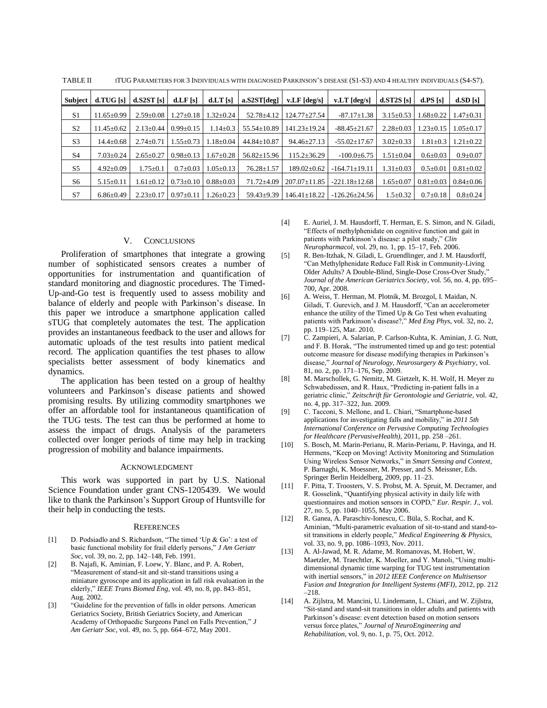TABLE II ITUG PARAMETERS FOR 3 INDIVIDUALS WITH DIAGNOSED PARKINSON'S DISEASE (S1-S3) AND 4 HEALTHY INDIVIDUALS (S4-S7).

| <b>Subject</b> | d.TUG[s]         | d.S2ST[s]       | d.LF[s]         | d.LT[s]         | a.S2ST[deg]       | $v.LF$ [deg/s]     | $v.LT$ [deg/s]      | d.ST2S[s]       | d.PS[s]         | d.SD[s]         |
|----------------|------------------|-----------------|-----------------|-----------------|-------------------|--------------------|---------------------|-----------------|-----------------|-----------------|
| S <sub>1</sub> | $11.65 \pm 0.99$ | $2.59 \pm 0.08$ | $1.27 \pm 0.18$ | $1.32 \pm 0.24$ | $52.78 \pm 4.12$  | $124.77 \pm 27.54$ | $-87.17 \pm 1.38$   | $3.15 \pm 0.53$ | $1.68 \pm 0.22$ | $1.47 \pm 0.31$ |
| S <sub>2</sub> | $11.45 \pm 0.62$ | $2.13 \pm 0.44$ | $0.99 \pm 0.15$ | $1.14 \pm 0.3$  | $55.54 \pm 10.89$ | $141.23 \pm 19.24$ | $-88.45 \pm 21.67$  | $2.28 \pm 0.03$ | $1.23 \pm 0.15$ | $1.05 \pm 0.17$ |
| S <sub>3</sub> | $14.4 \pm 0.68$  | $2.74 \pm 0.71$ | $1.55 \pm 0.73$ | $1.18 \pm 0.04$ | $44.84 \pm 10.87$ | $94.46 \pm 27.13$  | $-55.02 \pm 17.67$  | $3.02 \pm 0.33$ | $1.81 \pm 0.3$  | $1.21 \pm 0.22$ |
| S <sub>4</sub> | $7.03 \pm 0.24$  | $2.65 \pm 0.27$ | $0.98 \pm 0.13$ | $.67 \pm 0.28$  | $56.82 \pm 15.96$ | $115.2 \pm 36.29$  | $-100.0\pm 6.75$    | $1.51 \pm 0.04$ | $0.6 \pm 0.03$  | $0.9 \pm 0.07$  |
| S <sub>5</sub> | $4.92 \pm 0.09$  | $1.75 \pm 0.1$  | $0.7 \pm 0.03$  | $1.05 \pm 0.13$ | $76.28 \pm 1.57$  | 189.02±0.62        | $-164.71 \pm 19.11$ | $1.31 \pm 0.03$ | $0.5 \pm 0.01$  | $0.81 \pm 0.02$ |
| S6             | $5.15 \pm 0.11$  | $1.61 \pm 0.12$ | $0.73 \pm 0.10$ | $0.88 \pm 0.03$ | $71.72{\pm}4.09$  | $207.07 \pm 11.85$ | $-221.18 \pm 12.68$ | $1.65 \pm 0.07$ | $0.81 \pm 0.03$ | $0.84 \pm 0.06$ |
| S7             | $6.86 \pm 0.49$  | $2.23 \pm 0.17$ | $0.97 \pm 0.11$ | $.26 \pm 0.23$  | $59.43 \pm 9.39$  | $146.41 \pm 18.22$ | $-126.26 \pm 24.56$ | $1.5 \pm 0.32$  | $0.7 \pm 0.18$  | $0.8 \pm 0.24$  |

## V. CONCLUSIONS

Proliferation of smartphones that integrate a growing number of sophisticated sensors creates a number of opportunities for instrumentation and quantification of standard monitoring and diagnostic procedures. The Timed-Up-and-Go test is frequently used to assess mobility and balance of elderly and people with Parkinson's disease. In this paper we introduce a smartphone application called sTUG that completely automates the test. The application provides an instantaneous feedback to the user and allows for automatic uploads of the test results into patient medical record. The application quantifies the test phases to allow specialists better assessment of body kinematics and dynamics.

The application has been tested on a group of healthy volunteers and Parkinson's disease patients and showed promising results. By utilizing commodity smartphones we offer an affordable tool for instantaneous quantification of the TUG tests. The test can thus be performed at home to assess the impact of drugs. Analysis of the parameters collected over longer periods of time may help in tracking progression of mobility and balance impairments.

## ACKNOWLEDGMENT

This work was supported in part by U.S. National Science Foundation under grant CNS-1205439. We would like to thank the Parkinson's Support Group of Huntsville for their help in conducting the tests.

## **REFERENCES**

- [1] D. Podsiadlo and S. Richardson, "The timed 'Up & Go': a test of basic functional mobility for frail elderly persons," *J Am Geriatr Soc*, vol. 39, no. 2, pp. 142–148, Feb. 1991.
- [2] B. Najafi, K. Aminian, F. Loew, Y. Blanc, and P. A. Robert, "Measurement of stand-sit and sit-stand transitions using a miniature gyroscope and its application in fall risk evaluation in the elderly," *IEEE Trans Biomed Eng*, vol. 49, no. 8, pp. 843–851, Aug. 2002.
- [3] "Guideline for the prevention of falls in older persons. American Geriatrics Society, British Geriatrics Society, and American Academy of Orthopaedic Surgeons Panel on Falls Prevention," *J Am Geriatr Soc*, vol. 49, no. 5, pp. 664–672, May 2001.
- [4] E. Auriel, J. M. Hausdorff, T. Herman, E. S. Simon, and N. Giladi, "Effects of methylphenidate on cognitive function and gait in patients with Parkinson's disease: a pilot study," *Clin Neuropharmacol*, vol. 29, no. 1, pp. 15–17, Feb. 2006.
- [5] R. Ben-Itzhak, N. Giladi, L. Gruendlinger, and J. M. Hausdorff, "Can Methylphenidate Reduce Fall Risk in Community-Living Older Adults? A Double-Blind, Single-Dose Cross-Over Study," *Journal of the American Geriatrics Society*, vol. 56, no. 4, pp. 695– 700, Apr. 2008.
- [6] A. Weiss, T. Herman, M. Plotnik, M. Brozgol, I. Maidan, N. Giladi, T. Gurevich, and J. M. Hausdorff, "Can an accelerometer enhance the utility of the Timed Up & Go Test when evaluating patients with Parkinson's disease?," *Med Eng Phys*, vol. 32, no. 2, pp. 119–125, Mar. 2010.
- [7] C. Zampieri, A. Salarian, P. Carlson-Kuhta, K. Aminian, J. G. Nutt, and F. B. Horak, "The instrumented timed up and go test: potential outcome measure for disease modifying therapies in Parkinson's disease," *Journal of Neurology, Neurosurgery & Psychiatry*, vol. 81, no. 2, pp. 171–176, Sep. 2009.
- [8] M. Marschollek, G. Nemitz, M. Gietzelt, K. H. Wolf, H. Meyer zu Schwabedissen, and R. Haux, "Predicting in-patient falls in a geriatric clinic," *Zeitschrift für Gerontologie und Geriatrie*, vol. 42, no. 4, pp. 317–322, Jun. 2009.
- [9] C. Tacconi, S. Mellone, and L. Chiari, "Smartphone-based applications for investigating falls and mobility," in *2011 5th International Conference on Pervasive Computing Technologies for Healthcare (PervasiveHealth)*, 2011, pp. 258 –261.
- [10] S. Bosch, M. Marin-Perianu, R. Marin-Perianu, P. Havinga, and H. Hermens, "Keep on Moving! Activity Monitoring and Stimulation Using Wireless Sensor Networks," in *Smart Sensing and Context*, P. Barnaghi, K. Moessner, M. Presser, and S. Meissner, Eds. Springer Berlin Heidelberg, 2009, pp. 11–23.
- [11] F. Pitta, T. Troosters, V. S. Probst, M. A. Spruit, M. Decramer, and R. Gosselink, "Quantifying physical activity in daily life with questionnaires and motion sensors in COPD," *Eur. Respir. J.*, vol. 27, no. 5, pp. 1040–1055, May 2006.
- [12] R. Ganea, A. Paraschiv-Ionescu, C. Büla, S. Rochat, and K. Aminian, "Multi-parametric evaluation of sit-to-stand and stand-tosit transitions in elderly people," *Medical Engineering & Physics*, vol. 33, no. 9, pp. 1086–1093, Nov. 2011.
- [13] A. Al-Jawad, M. R. Adame, M. Romanovas, M. Hobert, W. Maetzler, M. Traechtler, K. Moeller, and Y. Manoli, "Using multidimensional dynamic time warping for TUG test instrumentation with inertial sensors," in *2012 IEEE Conference on Multisensor Fusion and Integration for Intelligent Systems (MFI)*, 2012, pp. 212 –218.
- [14] A. Zijlstra, M. Mancini, U. Lindemann, L. Chiari, and W. Zijlstra, "Sit-stand and stand-sit transitions in older adults and patients with Parkinson's disease: event detection based on motion sensors versus force plates," *Journal of NeuroEngineering and Rehabilitation*, vol. 9, no. 1, p. 75, Oct. 2012.